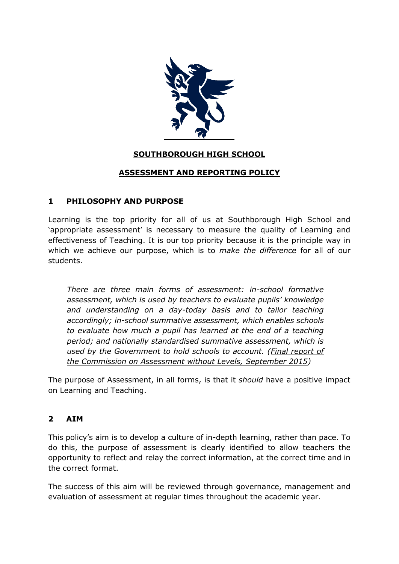

# **SOUTHBOROUGH HIGH SCHOOL**

## **ASSESSMENT AND REPORTING POLICY**

## **1 PHILOSOPHY AND PURPOSE**

Learning is the top priority for all of us at Southborough High School and 'appropriate assessment' is necessary to measure the quality of Learning and effectiveness of Teaching. It is our top priority because it is the principle way in which we achieve our purpose, which is to *make the difference* for all of our students.

*There are three main forms of assessment: in-school formative assessment, which is used by teachers to evaluate pupils' knowledge and understanding on a day-today basis and to tailor teaching accordingly; in-school summative assessment, which enables schools to evaluate how much a pupil has learned at the end of a teaching period; and nationally standardised summative assessment, which is used by the Government to hold schools to account. [\(Final report of](https://assets.publishing.service.gov.uk/government/uploads/system/uploads/attachment_data/file/483058/Commission_on_Assessment_Without_Levels_-_report.pdf)  [the Commission on Assessment without Levels, September 2015\)](https://assets.publishing.service.gov.uk/government/uploads/system/uploads/attachment_data/file/483058/Commission_on_Assessment_Without_Levels_-_report.pdf)*

The purpose of Assessment, in all forms, is that it *should* have a positive impact on Learning and Teaching.

# **2 AIM**

This policy's aim is to develop a culture of in-depth learning, rather than pace. To do this, the purpose of assessment is clearly identified to allow teachers the opportunity to reflect and relay the correct information, at the correct time and in the correct format.

The success of this aim will be reviewed through governance, management and evaluation of assessment at regular times throughout the academic year.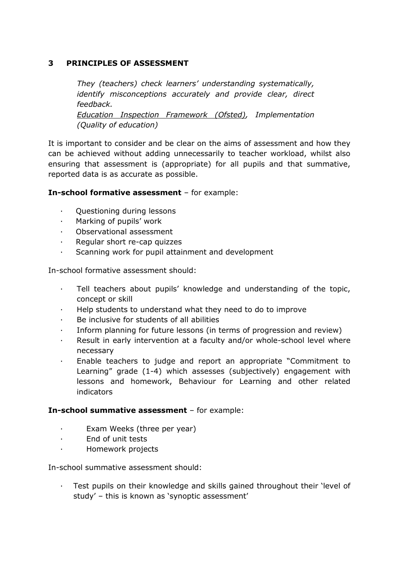## **3 PRINCIPLES OF ASSESSMENT**

*They (teachers) check learners' understanding systematically, identify misconceptions accurately and provide clear, direct feedback. [Education Inspection Framework \(Ofsted\),](https://assets.publishing.service.gov.uk/government/uploads/system/uploads/attachment_data/file/801429/Education_inspection_framework.pdf) Implementation (Quality of education)*

It is important to consider and be clear on the aims of assessment and how they can be achieved without adding unnecessarily to teacher workload, whilst also ensuring that assessment is (appropriate) for all pupils and that summative, reported data is as accurate as possible.

### **In-school formative assessment** – for example:

- · Questioning during lessons
- · Marking of pupils' work
- · Observational assessment
- · Regular short re-cap quizzes
- · Scanning work for pupil attainment and development

In-school formative assessment should:

- · Tell teachers about pupils' knowledge and understanding of the topic, concept or skill
- Help students to understand what they need to do to improve
- Be inclusive for students of all abilities
- Inform planning for future lessons (in terms of progression and review)
- Result in early intervention at a faculty and/or whole-school level where necessary
- · Enable teachers to judge and report an appropriate "Commitment to Learning" grade (1-4) which assesses (subjectively) engagement with lessons and homework, Behaviour for Learning and other related indicators

#### **In-school summative assessment** – for example:

- Exam Weeks (three per year)
- · End of unit tests
- · Homework projects

In-school summative assessment should:

· Test pupils on their knowledge and skills gained throughout their 'level of study' – this is known as 'synoptic assessment'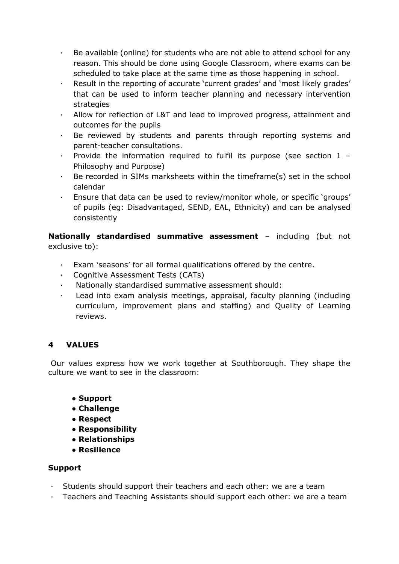- · Be available (online) for students who are not able to attend school for any reason. This should be done using Google Classroom, where exams can be scheduled to take place at the same time as those happening in school.
- · Result in the reporting of accurate 'current grades' and 'most likely grades' that can be used to inform teacher planning and necessary intervention strategies
- · Allow for reflection of L&T and lead to improved progress, attainment and outcomes for the pupils
- Be reviewed by students and parents through reporting systems and parent-teacher consultations.
- Provide the information required to fulfil its purpose (see section  $1 -$ Philosophy and Purpose)
- · Be recorded in SIMs marksheets within the timeframe(s) set in the school calendar
- Ensure that data can be used to review/monitor whole, or specific 'groups' of pupils (eg: Disadvantaged, SEND, EAL, Ethnicity) and can be analysed consistently

**Nationally standardised summative assessment** – including (but not exclusive to):

- Exam 'seasons' for all formal qualifications offered by the centre.
- · Cognitive Assessment Tests (CATs)
- · Nationally standardised summative assessment should:
- Lead into exam analysis meetings, appraisal, faculty planning (including curriculum, improvement plans and staffing) and Quality of Learning reviews.

# **4 VALUES**

Our values express how we work together at Southborough. They shape the culture we want to see in the classroom:

- **Support**
- **Challenge**
- **Respect**
- **Responsibility**
- **Relationships**
- **Resilience**

## **Support**

- Students should support their teachers and each other: we are a team
- · Teachers and Teaching Assistants should support each other: we are a team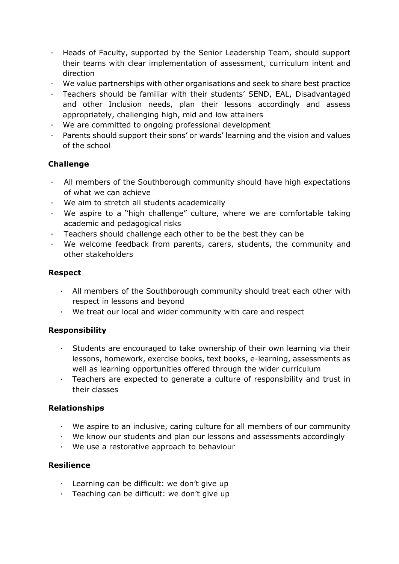- · Heads of Faculty, supported by the Senior Leadership Team, should support their teams with clear implementation of assessment, curriculum intent and direction
- We value partnerships with other organisations and seek to share best practice
- · Teachers should be familiar with their students' SEND, EAL, Disadvantaged and other Inclusion needs, plan their lessons accordingly and assess appropriately, challenging high, mid and low attainers
- · We are committed to ongoing professional development
- Parents should support their sons' or wards' learning and the vision and values of the school

## **Challenge**

- · All members of the Southborough community should have high expectations of what we can achieve
- We aim to stretch all students academically
- We aspire to a "high challenge" culture, where we are comfortable taking academic and pedagogical risks
- Teachers should challenge each other to be the best they can be
- We welcome feedback from parents, carers, students, the community and other stakeholders

### **Respect**

- · All members of the Southborough community should treat each other with respect in lessons and beyond
- · We treat our local and wider community with care and respect

## **Responsibility**

- · Students are encouraged to take ownership of their own learning via their lessons, homework, exercise books, text books, e-learning, assessments as well as learning opportunities offered through the wider curriculum
- · Teachers are expected to generate a culture of responsibility and trust in their classes

#### **Relationships**

- · We aspire to an inclusive, caring culture for all members of our community
- · We know our students and plan our lessons and assessments accordingly
- · We use a restorative approach to behaviour

#### **Resilience**

- · Learning can be difficult: we don't give up
- · Teaching can be difficult: we don't give up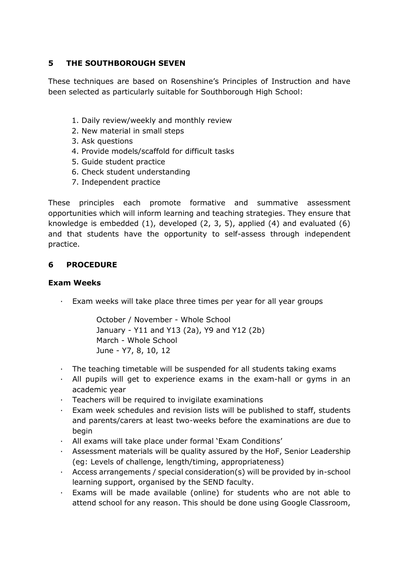# **5 THE SOUTHBOROUGH SEVEN**

These techniques are based on Rosenshine's Principles of Instruction and have been selected as particularly suitable for Southborough High School:

- 1. Daily review/weekly and monthly review
- 2. New material in small steps
- 3. Ask questions
- 4. Provide models/scaffold for difficult tasks
- 5. Guide student practice
- 6. Check student understanding
- 7. Independent practice

These principles each promote formative and summative assessment opportunities which will inform learning and teaching strategies. They ensure that knowledge is embedded (1), developed (2, 3, 5), applied (4) and evaluated (6) and that students have the opportunity to self-assess through independent practice.

## **6 PROCEDURE**

### **Exam Weeks**

· Exam weeks will take place three times per year for all year groups

October / November - Whole School January - Y11 and Y13 (2a), Y9 and Y12 (2b) March - Whole School June - Y7, 8, 10, 12

- · The teaching timetable will be suspended for all students taking exams
- · All pupils will get to experience exams in the exam-hall or gyms in an academic year
- · Teachers will be required to invigilate examinations
- · Exam week schedules and revision lists will be published to staff, students and parents/carers at least two-weeks before the examinations are due to begin
- · All exams will take place under formal 'Exam Conditions'
- · Assessment materials will be quality assured by the HoF, Senior Leadership (eg: Levels of challenge, length/timing, appropriateness)
- · Access arrangements / special consideration(s) will be provided by in-school learning support, organised by the SEND faculty.
- · Exams will be made available (online) for students who are not able to attend school for any reason. This should be done using Google Classroom,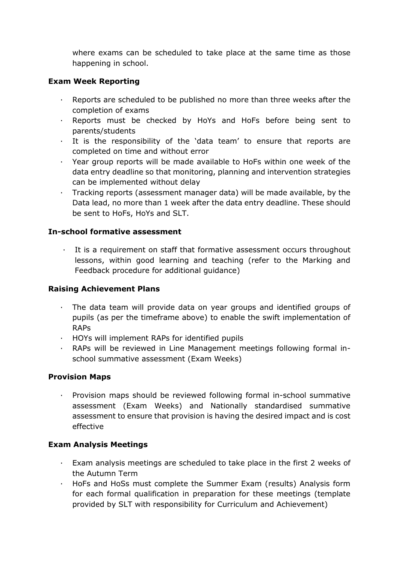where exams can be scheduled to take place at the same time as those happening in school.

## **Exam Week Reporting**

- · Reports are scheduled to be published no more than three weeks after the completion of exams
- · Reports must be checked by HoYs and HoFs before being sent to parents/students
- · It is the responsibility of the 'data team' to ensure that reports are completed on time and without error
- · Year group reports will be made available to HoFs within one week of the data entry deadline so that monitoring, planning and intervention strategies can be implemented without delay
- · Tracking reports (assessment manager data) will be made available, by the Data lead, no more than 1 week after the data entry deadline. These should be sent to HoFs, HoYs and SLT.

## **In-school formative assessment**

It is a requirement on staff that formative assessment occurs throughout lessons, within good learning and teaching (refer to the Marking and Feedback procedure for additional guidance)

## **Raising Achievement Plans**

- · The data team will provide data on year groups and identified groups of pupils (as per the timeframe above) to enable the swift implementation of RAPs
- · HOYs will implement RAPs for identified pupils
- · RAPs will be reviewed in Line Management meetings following formal inschool summative assessment (Exam Weeks)

## **Provision Maps**

· Provision maps should be reviewed following formal in-school summative assessment (Exam Weeks) and Nationally standardised summative assessment to ensure that provision is having the desired impact and is cost effective

# **Exam Analysis Meetings**

- · Exam analysis meetings are scheduled to take place in the first 2 weeks of the Autumn Term
- · HoFs and HoSs must complete the Summer Exam (results) Analysis form for each formal qualification in preparation for these meetings (template provided by SLT with responsibility for Curriculum and Achievement)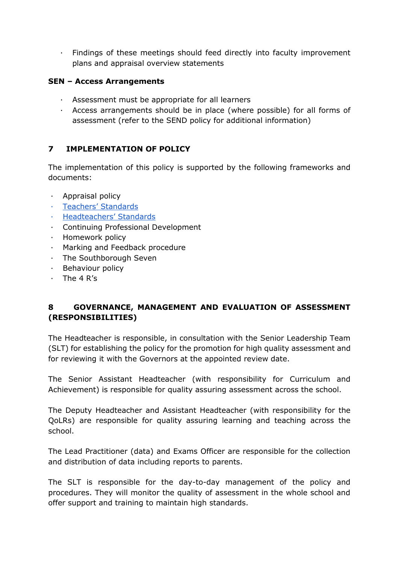· Findings of these meetings should feed directly into faculty improvement plans and appraisal overview statements

## **SEN – Access Arrangements**

- · Assessment must be appropriate for all learners
- · Access arrangements should be in place (where possible) for all forms of assessment (refer to the SEND policy for additional information)

# **7 IMPLEMENTATION OF POLICY**

The implementation of this policy is supported by the following frameworks and documents:

- · Appraisal policy
- [Teachers' Standards](https://assets.publishing.service.gov.uk/government/uploads/system/uploads/attachment_data/file/665520/Teachers__Standards.pdf)
- · [Headteachers' Standards](https://www.gov.uk/government/publications/national-standards-of-excellence-for-headteachers/headteachers-standards-2020)
- · Continuing Professional Development
- · Homework policy
- Marking and Feedback procedure
- · The Southborough Seven
- · Behaviour policy
- · The 4 R's

## **8 GOVERNANCE, MANAGEMENT AND EVALUATION OF ASSESSMENT (RESPONSIBILITIES)**

The Headteacher is responsible, in consultation with the Senior Leadership Team (SLT) for establishing the policy for the promotion for high quality assessment and for reviewing it with the Governors at the appointed review date.

The Senior Assistant Headteacher (with responsibility for Curriculum and Achievement) is responsible for quality assuring assessment across the school.

The Deputy Headteacher and Assistant Headteacher (with responsibility for the QoLRs) are responsible for quality assuring learning and teaching across the school.

The Lead Practitioner (data) and Exams Officer are responsible for the collection and distribution of data including reports to parents.

The SLT is responsible for the day-to-day management of the policy and procedures. They will monitor the quality of assessment in the whole school and offer support and training to maintain high standards.